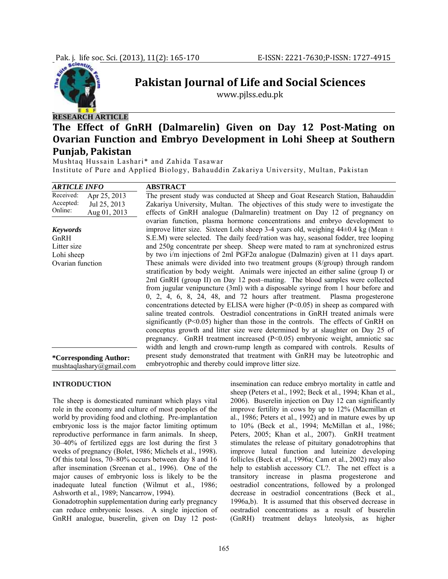

# **Pakistan Journal of Life and Social Sciences**

www.pjlss.edu.pk

# **RESEARCH ARTICLE**

# **The Effect of GnRH (Dalmarelin) Given on Day 12 PostMating on Ovarian Function and Embryo Development in Lohi Sheep at Southern Punjab, Pakistan**

Mushtaq Hussain Lashari\* and Zahida Tasawar Institute of Pure and Applied Biology, Bahauddin Zakariya University, Multan, Pakistan

| <b>ARTICLE INFO</b>       | <b>ABSTRACT</b>                                                                           |
|---------------------------|-------------------------------------------------------------------------------------------|
| Received:<br>Apr 25, 2013 | The present study was conducted at Sheep and Goat Research Station, Bahauddin             |
| Accepted:<br>Jul 25, 2013 | Zakariya University, Multan. The objectives of this study were to investigate the         |
| Online:<br>Aug 01, 2013   | effects of GnRH analogue (Dalmarelin) treatment on Day 12 of pregnancy on                 |
|                           | ovarian function, plasma hormone concentrations and embryo development to                 |
| <b>Keywords</b>           | improve litter size. Sixteen Lohi sheep 3-4 years old, weighing $44\pm0.4$ kg (Mean $\pm$ |
| GnRH                      | S.E.M) were selected. The daily feed/ration was hay, seasonal fodder, tree looping        |
| Litter size               | and 250g concentrate per sheep. Sheep were mated to ram at synchronized estrus            |
| Lohi sheep                | by two i/m injections of 2ml PGF2 $\alpha$ analogue (Dalmazin) given at 11 days apart.    |
| Ovarian function          | These animals were divided into two treatment groups (8/group) through random             |
|                           | stratification by body weight. Animals were injected an either saline (group I) or        |
|                           | 2ml GnRH (group II) on Day 12 post–mating. The blood samples were collected               |
|                           | from jugular venipuncture (3ml) with a disposable syringe from 1 hour before and          |
|                           | $0, 2, 4, 6, 8, 24, 48,$ and 72 hours after treatment. Plasma progesterone                |
|                           | concentrations detected by ELISA were higher $(P<0.05)$ in sheep as compared with         |
|                           | saline treated controls. Oestradiol concentrations in GnRH treated animals were           |
|                           | significantly $(P<0.05)$ higher than those in the controls. The effects of GnRH on        |
|                           | conceptus growth and litter size were determined by at slaughter on Day 25 of             |
|                           | pregnancy. GnRH treatment increased (P<0.05) embryonic weight, amniotic sac               |
|                           | width and length and crown-rump length as compared with controls. Results of              |
| *Corresponding Author:    | present study demonstrated that treatment with GnRH may be luteotrophic and               |
| mushtaqlashary@gmail.com  | embryotrophic and thereby could improve litter size.                                      |

#### **INTRODUCTION**

The sheep is domesticated ruminant which plays vital role in the economy and culture of most peoples of the world by providing food and clothing. Pre-implantation embryonic loss is the major factor limiting optimum reproductive performance in farm animals. In sheep, 30–40% of fertilized eggs are lost during the first 3 weeks of pregnancy (Bolet, 1986; Michels et al., 1998). Of this total loss, 70–80% occurs between day 8 and 16 after insemination (Sreenan et al., 1996). One of the major causes of embryonic loss is likely to be the inadequate luteal function (Wilmut et al., 1986; Ashworth et al., 1989; Nancarrow, 1994).

Gonadotrophin supplementation during early pregnancy can reduce embryonic losses. A single injection of GnRH analogue, buserelin, given on Day 12 postinsemination can reduce embryo mortality in cattle and sheep (Peters et al., 1992; Beck et al., 1994; Khan et al.*,* 2006). Buserelin injection on Day 12 can significantly improve fertility in cows by up to 12% (Macmillan et al., 1986; Peters et al., 1992) and in mature ewes by up to 10% (Beck et al., 1994; McMillan et al., 1986; Peters, 2005; Khan et al.*,* 2007). GnRH treatment stimulates the release of pituitary gonadotrophins that improve luteal function and luteinize developing follicles (Beck et al., 1996a; Cam et al., 2002) may also help to establish accessory CL?. The net effect is a transitory increase in plasma progesterone and oestradiol concentrations, followed by a prolonged decrease in oestradiol concentrations (Beck et al., 1996a,b). It is assumed that this observed decrease in oestradiol concentrations as a result of buserelin (GnRH) treatment delays luteolysis, as higher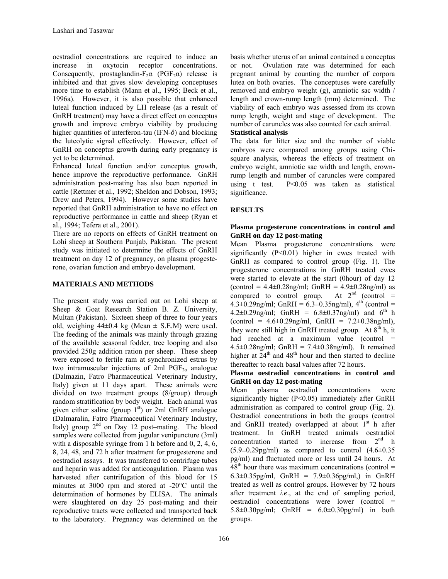oestradiol concentrations are required to induce an increase in oxytocin receptor concentrations. Consequently, prostaglandin- $F_2\alpha$  (PGF<sub>2</sub> $\alpha$ ) release is inhibited and that gives slow developing conceptuses more time to establish (Mann et al., 1995; Beck et al., 1996a). However, it is also possible that enhanced luteal function induced by LH release (as a result of GnRH treatment) may have a direct effect on conceptus growth and improve embryo viability by producing higher quantities of interferon-tau (IFN-*ô*) and blocking the luteolytic signal effectively. However, effect of GnRH on conceptus growth during early pregnancy is yet to be determined.

Enhanced luteal function and/or conceptus growth, hence improve the reproductive performance. GnRH administration post-mating has also been reported in cattle (Rettmer et al., 1992; Sheldon and Dobson, 1993; Drew and Peters, 1994). However some studies have reported that GnRH administration to have no effect on reproductive performance in cattle and sheep (Ryan et al., 1994; Tefera et al., 2001).

There are no reports on effects of GnRH treatment on Lohi sheep at Southern Punjab, Pakistan. The present study was initiated to determine the effects of GnRH treatment on day 12 of pregnancy, on plasma progesterone, ovarian function and embryo development.

# **MATERIALS AND METHODS**

The present study was carried out on Lohi sheep at Sheep & Goat Research Station B. Z. University, Multan (Pakistan). Sixteen sheep of three to four years old, weighing  $44\pm0.4$  kg (Mean  $\pm$  S.E.M) were used. The feeding of the animals was mainly through grazing of the available seasonal fodder, tree looping and also provided 250g addition ration per sheep. These sheep were exposed to fertile ram at synchronized estrus by two intramuscular injections of 2ml  $PGF_{2\alpha}$  analogue (Dalmazin, Fatro Pharmaceutical Veterinary Industry, Italy) given at 11 days apart. These animals were divided on two treatment groups (8/group) through random stratification by body weight. Each animal was given either saline (group  $1<sup>st</sup>$ ) or 2ml GnRH analogue (Dalmaralin, Fatro Pharmaceutical Veterinary Industry, Italy) group  $2^{nd}$  on Day 12 post–mating. The blood samples were collected from jugular venipuncture (3ml) with a disposable syringe from 1 h before and 0, 2, 4, 6, 8, 24, 48, and 72 h after treatment for progesterone and oestradiol assays. It was transferred to centrifuge tubes and heparin was added for anticoagulation. Plasma was harvested after centrifugation of this blood for 15 minutes at 3000 rpm and stored at -20°C until the determination of hormones by ELISA. The animals were slaughtered on day 25 post-mating and their reproductive tracts were collected and transported back to the laboratory. Pregnancy was determined on the

basis whether uterus of an animal contained a conceptus or not. Ovulation rate was determined for each pregnant animal by counting the number of corpora lutea on both ovaries. The conceptuses were carefully removed and embryo weight (g), amniotic sac width / length and crown-rump length (mm) determined. The viability of each embryo was assessed from its crown rump length, weight and stage of development. The number of caruncles was also counted for each animal. **Statistical analysis** 

The data for litter size and the number of viable embryos were compared among groups using Chisquare analysis, whereas the effects of treatment on embryo weight, amniotic sac width and length, crownrump length and number of caruncles were compared using t test. P<0.05 was taken as statistical significance.

# **RESULTS**

### **Plasma progesterone concentrations in control and GnRH on day 12 post-mating**

Mean Plasma progesterone concentrations were significantly  $(P<0.01)$  higher in ewes treated with GnRH as compared to control group (Fig. 1). The progesterone concentrations in GnRH treated ewes were started to elevate at the start (0hour) of day 12  $(control = 4.4 \pm 0.28$ ng/ml;  $GnRH = 4.9 \pm 0.28$ ng/ml) as compared to control group. At  $2<sup>nd</sup>$  (control =  $4.3\pm0.29$ ng/ml; GnRH =  $6.3\pm0.35$ ng/ml),  $4^{\text{th}}$  (control =  $4.2 \pm 0.29$ ng/ml; GnRH =  $6.8 \pm 0.37$ ng/ml) and 6<sup>th</sup> h  $(control = 4.6 \pm 0.29$ ng/ml,  $GnRH = 7.2 \pm 0.38$ ng/ml), they were still high in GnRH treated group. At  $8<sup>th</sup>$  h, it had reached at a maximum value (control  $=$  $4.5\pm0.28$ ng/ml; GnRH =  $7.4\pm0.38$ ng/ml). It remained higher at  $24<sup>th</sup>$  and  $48<sup>th</sup>$  hour and then started to decline thereafter to reach basal values after 72 hours.

#### **Plasma oestradiol concentrations in control and GnRH on day 12 post-mating**

Mean plasma oestradiol concentrations were significantly higher (P<0.05) immediately after GnRH administration as compared to control group (Fig. 2). Oestradiol concentrations in both the groups (control and GnRH treated) overlapped at about  $1<sup>st</sup>$  h after treatment. In GnRH treated animals oestradiol concentration started to increase from  $2<sup>nd</sup>$  h  $(5.9\pm0.29\text{pg/ml})$  as compared to control  $(4.6\pm0.35$ pg/ml) and fluctuated more or less until 24 hours. At  $48<sup>th</sup>$  hour there was maximum concentrations (control = 6.3 $\pm$ 0.35pg/ml, GnRH = 7.9 $\pm$ 0.36pg/ml,) in GnRH treated as well as control groups. However by 72 hours after treatment *i.e*., at the end of sampling period, oestradiol concentrations were lower (control = 5.8±0.30pg/ml; GnRH = 6.0±0.30pg/ml) in both groups.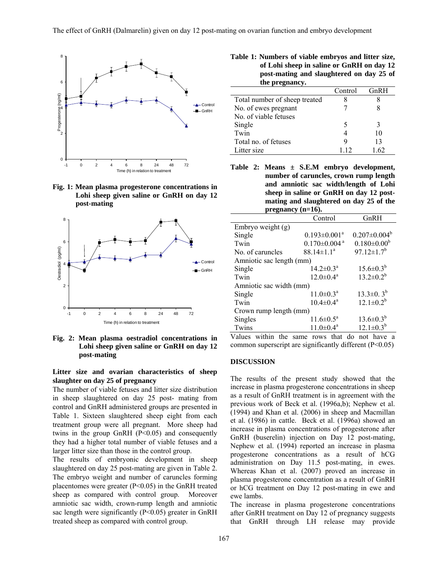

**Fig. 1: Mean plasma progesterone concentrations in Lohi sheep given saline or GnRH on day 12 post-mating** 



**Fig. 2: Mean plasma oestradiol concentrations in Lohi sheep given saline or GnRH on day 12 post-mating** 

#### **Litter size and ovarian characteristics of sheep slaughter on day 25 of pregnancy**

The number of viable fetuses and litter size distribution in sheep slaughtered on day 25 post- mating from control and GnRH administered groups are presented in Table 1. Sixteen slaughtered sheep eight from each treatment group were all pregnant. More sheep had twins in the group GnRH  $(P<0.05)$  and consequently they had a higher total number of viable fetuses and a larger litter size than those in the control group.

The results of embryonic development in sheep slaughtered on day 25 post-mating are given in Table 2. The embryo weight and number of caruncles forming placentomes were greater (P<0.05) in the GnRH treated sheep as compared with control group. Moreover amniotic sac width, crown-rump length and amniotic sac length were significantly  $(P<0.05)$  greater in GnRH treated sheep as compared with control group.

**Table 1: Numbers of viable embryos and litter size, of Lohi sheep in saline or GnRH on day 12 post-mating and slaughtered on day 25 of the pregnancy.** 

| uit pregnanty.                |         |      |
|-------------------------------|---------|------|
|                               | Control | GnRH |
| Total number of sheep treated |         |      |
| No. of ewes pregnant          |         |      |
| No. of viable fetuses         |         |      |
| Single                        | 5       |      |
| Twin                          |         | 10   |
| Total no. of fetuses          | 9       | 13   |
| Litter size                   | 112     |      |

**Table 2: Means ± S.E.M embryo development, number of caruncles, crown rump length and amniotic sac width/length of Lohi sheep in saline or GnRH on day 12 postmating and slaughtered on day 25 of the pregnancy (n=16).** 

|                          | Control                        | GnRH                         |  |  |
|--------------------------|--------------------------------|------------------------------|--|--|
| Embryo weight $(g)$      |                                |                              |  |  |
| Single                   | $0.193 \pm 0.001^a$            | $0.207 \pm 0.004^b$          |  |  |
| Twin                     | $0.170 \pm 0.004$ <sup>a</sup> | $0.180 \pm 0.00^b$           |  |  |
| No. of caruncles         | $88.14 \pm 1.1^a$              | $97.12 \pm 1.7$ <sup>b</sup> |  |  |
| Amniotic sac length (mm) |                                |                              |  |  |
| Single                   | $14.2 \pm 0.3^{\text{a}}$      | $15.6 \pm 0.3^{b}$           |  |  |
| Twin                     | $12.0 \pm 0.4^a$               | $13.2 \pm 0.2^b$             |  |  |
| Amniotic sac width (mm)  |                                |                              |  |  |
| Single                   | $11.0 \pm 0.3^{\text{a}}$      | $13.3 \pm 0.3^b$             |  |  |
| Twin                     | $10.4 \pm 0.4^a$               | $12.1 \pm 0.2^b$             |  |  |
| Crown rump length (mm)   |                                |                              |  |  |
| Singles                  | $11.6 \pm 0.5^{\text{a}}$      | $13.6 \pm 0.3^{b}$           |  |  |
| Twins                    | $11.0 \pm 0.4^a$               | $12.1 \pm 0.3^b$             |  |  |

Values within the same rows that do not have a common superscript are significantly different (P<0.05)

### **DISCUSSION**

The results of the present study showed that the increase in plasma progesterone concentrations in sheep as a result of GnRH treatment is in agreement with the previous work of Beck et al. (1996a,b); Nephew et al. (1994) and Khan et al. (2006) in sheep and Macmillan et al. (1986) in cattle. Beck et al. (1996a) showed an increase in plasma concentrations of progesterone after GnRH (buserelin) injection on Day 12 post-mating, Nephew et al. (1994) reported an increase in plasma progesterone concentrations as a result of hCG administration on Day 11.5 post-mating, in ewes. Whereas Khan et al. (2007) proved an increase in plasma progesterone concentration as a result of GnRH or hCG treatment on Day 12 post-mating in ewe and ewe lambs.

The increase in plasma progesterone concentrations after GnRH treatment on Day 12 of pregnancy suggests that GnRH through LH release may provide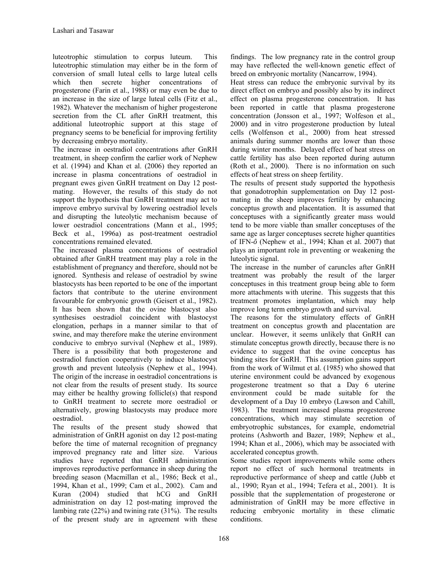luteotrophic stimulation to corpus luteum. This luteotrophic stimulation may either be in the form of conversion of small luteal cells to large luteal cells which then secrete higher concentrations of progesterone (Farin et al., 1988) or may even be due to an increase in the size of large luteal cells (Fitz et al., 1982). Whatever the mechanism of higher progesterone secretion from the CL after GnRH treatment, this additional luteotrophic support at this stage of pregnancy seems to be beneficial for improving fertility by decreasing embryo mortality.

The increase in oestradiol concentrations after GnRH treatment, in sheep confirm the earlier work of Nephew et al. (1994) and Khan et al. (2006) they reported an increase in plasma concentrations of oestradiol in pregnant ewes given GnRH treatment on Day 12 postmating. However, the results of this study do not support the hypothesis that GnRH treatment may act to improve embryo survival by lowering oestradiol levels and disrupting the luteolytic mechanism because of lower oestradiol concentrations (Mann et al., 1995; Beck et al., 1996a) as post-treatment oestradiol concentrations remained elevated.

The increased plasma concentrations of oestradiol obtained after GnRH treatment may play a role in the establishment of pregnancy and therefore, should not be ignored. Synthesis and release of oestradiol by swine blastocysts has been reported to be one of the important factors that contribute to the uterine environment favourable for embryonic growth (Geisert et al., 1982). It has been shown that the ovine blastocyst also synthesises oestradiol coincident with blastocyst elongation, perhaps in a manner similar to that of swine, and may therefore make the uterine environment conducive to embryo survival (Nephew et al., 1989). There is a possibility that both progesterone and oestradiol function cooperatively to induce blastocyst growth and prevent luteolysis (Nephew et al., 1994). The origin of the increase in oestradiol concentrations is not clear from the results of present study. Its source may either be healthy growing follicle(s) that respond to GnRH treatment to secrete more oestradiol or alternatively, growing blastocysts may produce more oestradiol.

The results of the present study showed that administration of GnRH agonist on day 12 post-mating before the time of maternal recognition of pregnancy improved pregnancy rate and litter size. Various studies have reported that GnRH administration improves reproductive performance in sheep during the breeding season (Macmillan et al., 1986; Beck et al., 1994, Khan et al., 1999; Cam et al., 2002). Cam and Kuran (2004) studied that hCG and GnRH administration on day 12 post-mating improved the lambing rate (22%) and twining rate (31%). The results of the present study are in agreement with these

findings. The low pregnancy rate in the control group may have reflected the well-known genetic effect of breed on embryonic mortality (Nancarrow, 1994).

Heat stress can reduce the embryonic survival by its direct effect on embryo and possibly also by its indirect effect on plasma progesterone concentration. It has been reported in cattle that plasma progesterone concentration (Jonsson et al., 1997; Wolfeson et al., 2000) and in vitro progesterone production by luteal cells (Wolfenson et al., 2000) from heat stressed animals during summer months are lower than those during winter months. Delayed effect of heat stress on cattle fertility has also been reported during autumn (Roth et al., 2000). There is no information on such effects of heat stress on sheep fertility.

The results of present study supported the hypothesis that gonadotrophin supplementation on Day 12 postmating in the sheep improves fertility by enhancing conceptus growth and placentation. It is assumed that conceptuses with a significantly greater mass would tend to be more viable than smaller conceptuses of the same age as larger conceptuses secrete higher quantities of IFN-*ô* (Nephew et al., 1994; Khan et al. 2007) that plays an important role in preventing or weakening the luteolytic signal.

The increase in the number of caruncles after GnRH treatment was probably the result of the larger conceptuses in this treatment group being able to form more attachments with uterine. This suggests that this treatment promotes implantation, which may help improve long term embryo growth and survival.

The reasons for the stimulatory effects of GnRH treatment on conceptus growth and placentation are unclear. However, it seems unlikely that GnRH can stimulate conceptus growth directly, because there is no evidence to suggest that the ovine conceptus has binding sites for GnRH. This assumption gains support from the work of Wilmut et al. (1985) who showed that uterine environment could be advanced by exogenous progesterone treatment so that a Day 6 uterine environment could be made suitable for the development of a Day 10 embryo (Lawson and Cahill, 1983). The treatment increased plasma progesterone concentrations, which may stimulate secretion of embryotrophic substances, for example, endometrial proteins (Ashworth and Bazer, 1989; Nephew et al., 1994; Khan et al., 2006), which may be associated with accelerated conceptus growth.

Some studies report improvements while some others report no effect of such hormonal treatments in reproductive performance of sheep and cattle (Jubb et al., 1990; Ryan et al., 1994; Tefera et al., 2001). It is possible that the supplementation of progesterone or administration of GnRH may be more effective in reducing embryonic mortality in these climatic conditions.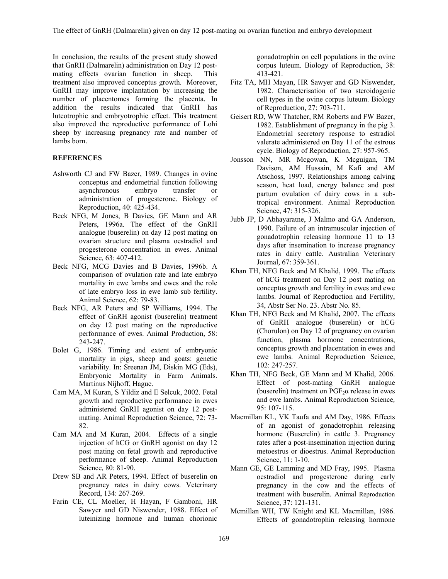In conclusion, the results of the present study showed that GnRH (Dalmarelin) administration on Day 12 postmating effects ovarian function in sheep. This treatment also improved conceptus growth. Moreover, GnRH may improve implantation by increasing the number of placentomes forming the placenta. In addition the results indicated that GnRH has luteotrophic and embryotrophic effect. This treatment also improved the reproductive performance of Lohi sheep by increasing pregnancy rate and number of lambs born.

#### **REFERENCES**

- Ashworth CJ and FW Bazer, 1989. Changes in ovine conceptus and endometrial function following asynchronous embryo transfer or administration of progesterone. Biology of Reproduction, 40: 425-434.
- Beck NFG, M Jones, B Davies, GE Mann and AR Peters, 1996a. The effect of the GnRH analogue (buserelin) on day 12 post mating on ovarian structure and plasma oestradiol and progesterone concentration in ewes. Animal Science*,* 63: 407-412.
- Beck NFG, MCG Davies and B Davies, 1996b. A comparison of ovulation rate and late embryo mortality in ewe lambs and ewes and the role of late embryo loss in ewe lamb sub fertility. Animal Science, 62: 79-83.
- Beck NFG, AR Peters and SP Williams, 1994. The effect of GnRH agonist (buserelin) treatment on day 12 post mating on the reproductive performance of ewes. Animal Production*,* 58: 243-247.
- Bolet G, 1986. Timing and extent of embryonic mortality in pigs, sheep and goats: genetic variability. In: Sreenan JM, Diskin MG (Eds), Embryonic Mortality in Farm Animals. Martinus Nijhoff, Hague.
- Cam MA, M Kuran, S Yildiz and E Selcuk, 2002. Fetal growth and reproductive performance in ewes administered GnRH agonist on day 12 postmating. Animal Reproduction Science, 72: 73- 82.
- Cam MA and M Kuran, 2004. Effects of a single injection of hCG or GnRH agonist on day 12 post mating on fetal growth and reproductive performance of sheep. Animal Reproduction Science*,* 80: 81-90.
- Drew SB and AR Peters, 1994. Effect of buserelin on pregnancy rates in dairy cows. Veterinary Record, 134: 267-269.
- Farin CE, CL Moeller, H Hayan, F Gamboni, HR Sawyer and GD Niswender, 1988. Effect of luteinizing hormone and human chorionic

gonadotrophin on cell populations in the ovine corpus luteum. Biology of Reproduction, 38: 413-421.

- Fitz TA, MH Mayan, HR Sawyer and GD Niswender, 1982. Characterisation of two steroidogenic cell types in the ovine corpus luteum. Biology of Reproduction*,* 27: 703-711.
- Geisert RD, WW Thatcher, RM Roberts and FW Bazer, 1982. Establishment of pregnancy in the pig 3. Endometrial secretory response to estradiol valerate administered on Day 11 of the estrous cycle. Biology of Reproduction, 27: 957-965.
- Jonsson NN, MR Mcgowan, K Mcguigan, TM Davison, AM Hussain, M Kafi and AM Atschoss, 1997. Relationships among calving season, heat load, energy balance and post partum ovulation of dairy cows in a subtropical environment. Animal Reproduction Science, 47: 315-326.
- Jubb JP, D Abhayaratne, J Malmo and GA Anderson, 1990. Failure of an intramuscular injection of gonadotrophin releasing hormone 11 to 13 days after insemination to increase pregnancy rates in dairy cattle. Australian Veterinary Journal*,* 67: 359-361.
- Khan TH, NFG Beck and M Khalid, 1999. The effects of hCG treatment on Day 12 post mating on conceptus growth and fertility in ewes and ewe lambs. Journal of Reproduction and Fertility, 34, Abstr Ser No. 23. Abstr No. 85.
- Khan TH, NFG Beck and M Khalid**,** 2007. The effects of GnRH analogue (buserelin) or hCG (Chorulon) on Day 12 of pregnancy on ovarian function, plasma hormone concentrations, conceptus growth and placentation in ewes and ewe lambs. Animal Reproduction Science, 102: 247-257.
- Khan TH, NFG Beck, GE Mann and M Khalid, 2006. Effect of post-mating GnRH analogue (buserelin) treatment on  $PGF<sub>2</sub> \alpha$  release in ewes and ewe lambs. Animal Reproduction Science*,* 95: 107-115.
- Macmillan KL, VK Taufa and AM Day, 1986. Effects of an agonist of gonadotrophin releasing hormone (Buserelin) in cattle 3. Pregnancy rates after a post-insemination injection during metoestrus or dioestrus. Animal Reproduction Science, 11: 1-10.
- Mann GE, GE Lamming and MD Fray, 1995. Plasma oestradiol and progesterone during early pregnancy in the cow and the effects of treatment with buserelin. Animal Reproduction Science, 37: 121-131.
- Mcmillan WH, TW Knight and KL Macmillan, 1986. Effects of gonadotrophin releasing hormone